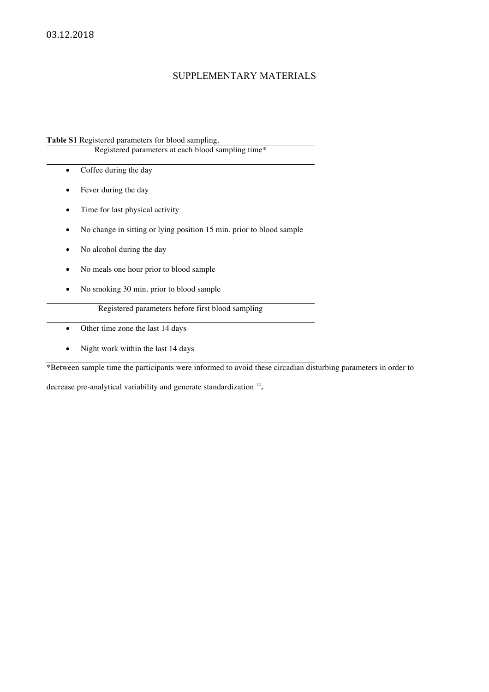## SUPPLEMENTARY MATERIALS

**Table S1** Registered parameters for blood sampling.

Registered parameters at each blood sampling time\*

- Coffee during the day
- Fever during the day
- Time for last physical activity
- No change in sitting or lying position 15 min. prior to blood sample
- No alcohol during the day
- No meals one hour prior to blood sample
- No smoking 30 min. prior to blood sample

Registered parameters before first blood sampling

- Other time zone the last 14 days
- Night work within the last 14 days

\*Between sample time the participants were informed to avoid these circadian disturbing parameters in order to

decrease pre-analytical variability and generate standardization <sup>14</sup>**.**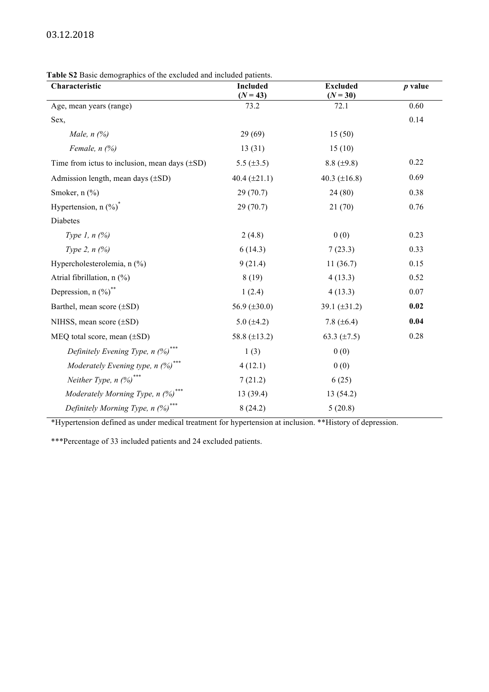**Table S2** Basic demographics of the excluded and included patients.

| Characteristic                                     | <b>Included</b><br>$(N = 43)$ | <b>Excluded</b><br>$(N = 30)$ | $p$ value |
|----------------------------------------------------|-------------------------------|-------------------------------|-----------|
| Age, mean years (range)                            | 73.2                          | 72.1                          | 0.60      |
| Sex,                                               |                               |                               | 0.14      |
| Male, $n$ $(\%)$                                   | 29(69)                        | 15(50)                        |           |
| Female, $n$ $(\%)$                                 | 13(31)                        | 15(10)                        |           |
| Time from ictus to inclusion, mean days $(\pm SD)$ | 5.5 $(\pm 3.5)$               | $8.8 (\pm 9.8)$               | 0.22      |
| Admission length, mean days $(\pm SD)$             | 40.4 $(\pm 21.1)$             | 40.3 $(\pm 16.8)$             | 0.69      |
| Smoker, $n$ $(\%)$                                 | 29(70.7)                      | 24(80)                        | 0.38      |
| Hypertension, $n$ $(\%)^*$                         | 29(70.7)                      | 21(70)                        | 0.76      |
| Diabetes                                           |                               |                               |           |
| Type 1, $n$ $(\%)$                                 | 2(4.8)                        | 0(0)                          | 0.23      |
| Type 2, $n$ $\frac{6}{6}$                          | 6(14.3)                       | 7(23.3)                       | 0.33      |
| Hypercholesterolemia, n (%)                        | 9(21.4)                       | 11(36.7)                      | 0.15      |
| Atrial fibrillation, n (%)                         | 8(19)                         | 4(13.3)                       | 0.52      |
| Depression, $n$ $(\%)^*$                           | 1(2.4)                        | 4(13.3)                       | 0.07      |
| Barthel, mean score (±SD)                          | 56.9 $(\pm 30.0)$             | 39.1 $(\pm 31.2)$             | 0.02      |
| NIHSS, mean score $(\pm SD)$                       | 5.0 $(\pm 4.2)$               | 7.8 $(\pm 6.4)$               | 0.04      |
| MEQ total score, mean $(\pm SD)$                   | 58.8 $(\pm 13.2)$             | 63.3 $(\pm 7.5)$              | 0.28      |
| Definitely Evening Type, $n$ (%) <sup>***</sup>    | 1(3)                          | 0(0)                          |           |
| Moderately Evening type, $n$ (%) <sup>***</sup>    | 4(12.1)                       | 0(0)                          |           |
| Neither Type, $n$ (%) <sup>***</sup>               | 7(21.2)                       | 6(25)                         |           |
| Moderately Morning Type, $n$ (%) <sup>***</sup>    | 13(39.4)                      | 13 (54.2)                     |           |
| Definitely Morning Type, $n$ (%) <sup>***</sup>    | 8(24.2)                       | 5(20.8)                       |           |

\*Hypertension defined as under medical treatment for hypertension at inclusion. \*\*History of depression.

\*\*\*Percentage of 33 included patients and 24 excluded patients.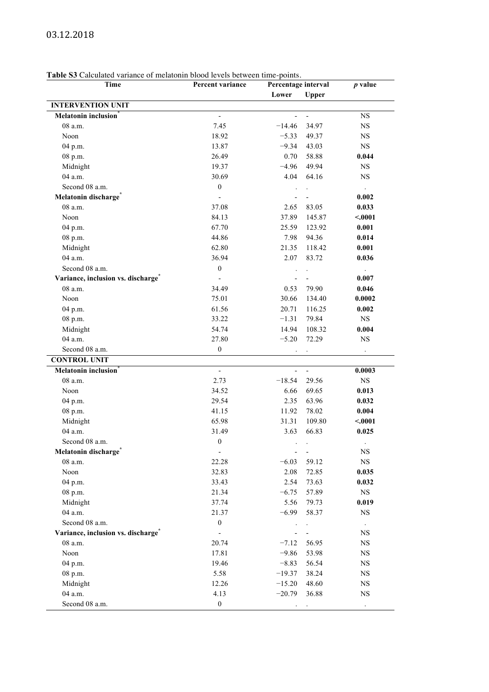## **Table S3** Calculated variance of melatonin blood levels between time-points.

| <b>Table SS</b> Calculated variance of melatonin blood levels between time-points.<br>Time | Percent variance         |          | Percentage interval          |                      |
|--------------------------------------------------------------------------------------------|--------------------------|----------|------------------------------|----------------------|
|                                                                                            |                          | Lower    | <b>Upper</b>                 | $p$ value            |
| <b>INTERVENTION UNIT</b>                                                                   |                          |          |                              |                      |
| Melatonin inclusion <sup>®</sup>                                                           |                          |          | $\qquad \qquad \blacksquare$ | <b>NS</b>            |
| 08 a.m.                                                                                    | 7.45                     | $-14.46$ | 34.97                        | <b>NS</b>            |
| Noon                                                                                       | 18.92                    | $-5.33$  | 49.37                        | NS                   |
| 04 p.m.                                                                                    | 13.87                    | $-9.34$  | 43.03                        | NS                   |
| 08 p.m.                                                                                    | 26.49                    | 0.70     | 58.88                        | 0.044                |
|                                                                                            |                          | $-4.96$  | 49.94                        | NS                   |
| Midnight<br>04 a.m.                                                                        | 19.37                    | 4.04     |                              | <b>NS</b>            |
|                                                                                            | 30.69                    |          | 64.16                        |                      |
| Second 08 a.m.                                                                             | $\boldsymbol{0}$         |          |                              |                      |
| Melatonin discharge <sup>*</sup>                                                           |                          |          |                              | 0.002                |
| 08 a.m.                                                                                    | 37.08                    | 2.65     | 83.05                        | 0.033                |
| Noon                                                                                       | 84.13                    | 37.89    | 145.87                       | < .0001              |
| 04 p.m.                                                                                    | 67.70                    | 25.59    | 123.92                       | 0.001                |
| 08 p.m.                                                                                    | 44.86                    | 7.98     | 94.36                        | 0.014                |
| Midnight                                                                                   | 62.80                    | 21.35    | 118.42                       | 0.001                |
| 04 a.m.                                                                                    | 36.94                    | 2.07     | 83.72                        | 0.036                |
| Second 08 a.m.                                                                             | $\boldsymbol{0}$         |          |                              | $\Box$               |
| Variance, inclusion vs. discharge <sup>*</sup>                                             |                          |          |                              | 0.007                |
| 08 a.m.                                                                                    | 34.49                    | 0.53     | 79.90                        | 0.046                |
| Noon                                                                                       | 75.01                    | 30.66    | 134.40                       | 0.0002               |
| 04 p.m.                                                                                    | 61.56                    | 20.71    | 116.25                       | 0.002                |
| 08 p.m.                                                                                    | 33.22                    | $-1.31$  | 79.84                        | NS                   |
| Midnight                                                                                   | 54.74                    | 14.94    | 108.32                       | 0.004                |
| 04 a.m.                                                                                    | 27.80                    | $-5.20$  | 72.29                        | NS                   |
| Second 08 a.m.                                                                             | $\boldsymbol{0}$         |          |                              | $\ddot{\phantom{a}}$ |
| <b>CONTROL UNIT</b>                                                                        |                          |          |                              |                      |
| Melatonin inclusion <sup>7</sup>                                                           | $\overline{a}$           |          | $\overline{\phantom{a}}$     | 0.0003               |
| 08 a.m.                                                                                    | 2.73                     | $-18.54$ | 29.56                        | <b>NS</b>            |
| Noon                                                                                       | 34.52                    | 6.66     | 69.65                        | 0.013                |
| 04 p.m.                                                                                    | 29.54                    | 2.35     | 63.96                        | 0.032                |
| 08 p.m.                                                                                    | 41.15                    | 11.92    | 78.02                        | 0.004                |
| Midnight                                                                                   | 65.98                    | 31.31    | 109.80                       | < .0001              |
| 04 a.m.                                                                                    | 31.49                    | 3.63     | 66.83                        | 0.025                |
| Second 08 a.m.                                                                             | $\boldsymbol{0}$         |          |                              |                      |
| Melatonin discharge <sup>*</sup>                                                           | $\overline{\phantom{a}}$ |          |                              | NS                   |
| 08 a.m.                                                                                    | 22.28                    | $-6.03$  | 59.12                        | $_{\rm NS}$          |
| Noon                                                                                       | 32.83                    | 2.08     | 72.85                        | 0.035                |
| 04 p.m.                                                                                    | 33.43                    | 2.54     | 73.63                        | 0.032                |
| 08 p.m.                                                                                    | 21.34                    | $-6.75$  | 57.89                        | $_{\rm NS}$          |
| Midnight                                                                                   | 37.74                    | 5.56     | 79.73                        | 0.019                |
| 04 a.m.                                                                                    | 21.37                    | $-6.99$  | 58.37                        | <b>NS</b>            |
| Second 08 a.m.                                                                             | $\boldsymbol{0}$         |          |                              |                      |
| Variance, inclusion vs. discharge <sup>®</sup>                                             |                          |          |                              | NS                   |
| 08 a.m.                                                                                    | 20.74                    | $-7.12$  | 56.95                        | NS                   |
| Noon                                                                                       | 17.81                    | $-9.86$  | 53.98                        | $_{\rm NS}$          |
| 04 p.m.                                                                                    | 19.46                    | $-8.83$  | 56.54                        | NS                   |
| 08 p.m.                                                                                    | 5.58                     | $-19.37$ | 38.24                        | NS                   |
| Midnight                                                                                   | 12.26                    | $-15.20$ | 48.60                        | NS                   |
| 04 a.m.                                                                                    | 4.13                     | $-20.79$ | 36.88                        | NS                   |
|                                                                                            |                          |          |                              |                      |
| Second 08 a.m.                                                                             | $\boldsymbol{0}$         |          |                              | $\cdot$              |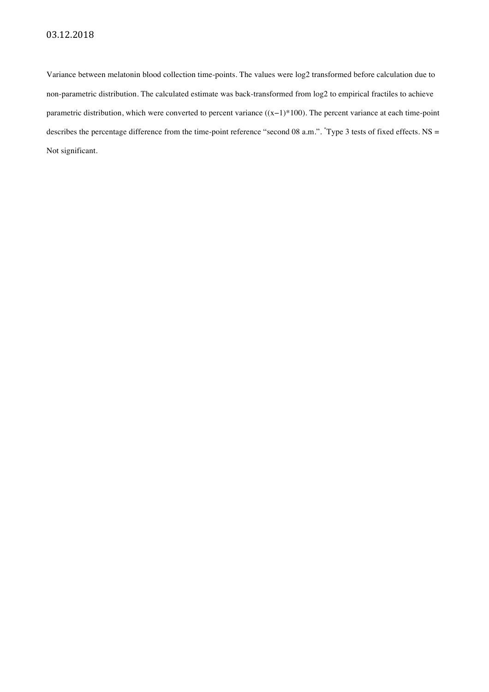Variance between melatonin blood collection time-points. The values were log2 transformed before calculation due to non-parametric distribution. The calculated estimate was back-transformed from log2 to empirical fractiles to achieve parametric distribution, which were converted to percent variance ((x−1)\*100). The percent variance at each time-point describes the percentage difference from the time-point reference "second 08 a.m.". \*Type 3 tests of fixed effects. NS = Not significant.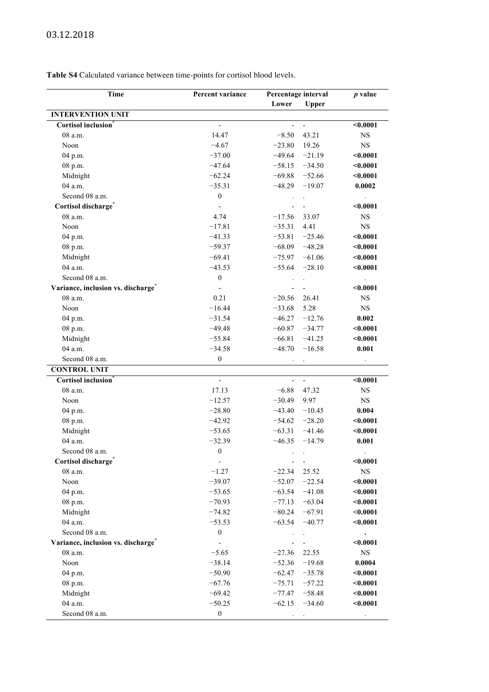**Table S4** Calculated variance between time-points for cortisol blood levels.

| Time                               | Percent variance         | Percentage interval |                          | $p$ value            |
|------------------------------------|--------------------------|---------------------|--------------------------|----------------------|
|                                    |                          | Lower               | <b>Upper</b>             |                      |
| <b>INTERVENTION UNIT</b>           |                          |                     |                          |                      |
| Cortisol inclusion <sup>*</sup>    |                          |                     |                          | < 0.0001             |
| 08 a.m.                            | 14.47                    | $-8.50$             | 43.21                    | NS                   |
| Noon                               | $-4.67$                  | $-23.80$            | 19.26                    | <b>NS</b>            |
| 04 p.m.                            | $-37.00$                 | $-49.64$            | $-21.19$                 | $0.0001$             |
| 08 p.m.                            | $-47.64$                 | $-58.15$            | $-34.50$                 | $0.0001$             |
| Midnight                           | $-62.24$                 | $-69.88$            | $-52.66$                 | $0.0001$             |
| 04 a.m.                            | $-35.31$                 | $-48.29$            | $-19.07$                 | 0.0002               |
| Second 08 a.m.                     | $\boldsymbol{0}$         |                     |                          |                      |
| Cortisol discharge <sup>*</sup>    |                          |                     |                          | $0.0001$             |
| 08 a.m.                            | 4.74                     | $-17.56$            | 33.07                    | NS                   |
| Noon                               | $-17.81$                 | $-35.31$            | 4.41                     | NS                   |
| 04 p.m.                            | $-41.33$                 | $-53.81$            | $-25.46$                 | $0.0001$             |
| 08 p.m.                            | $-59.37$                 | $-68.09$            | $-48.28$                 | < 0.0001             |
| Midnight                           | $-69.41$                 | $-75.97$            | $-61.06$                 | $0.0001$             |
| 04 a.m.                            | $-43.53$                 | $-55.64$            | $-28.10$                 | $0.0001$             |
| Second 08 a.m.                     | $\boldsymbol{0}$         |                     |                          | $\ddot{\phantom{a}}$ |
| Variance, inclusion vs. discharge" |                          |                     |                          | $0.0001$             |
| 08 a.m.                            | 0.21                     | $-20.56$            | 26.41                    | <b>NS</b>            |
| Noon                               | $-16.44$                 | $-33.68$            | 5.28                     | <b>NS</b>            |
| 04 p.m.                            | $-31.54$                 | $-46.27$            | $-12.76$                 | 0.002                |
| 08 p.m.                            | $-49.48$                 | $-60.87$            | $-34.77$                 | $0.0001$             |
| Midnight                           | $-55.84$                 | $-66.81$            | $-41.25$                 | $0.0001$             |
| 04 a.m.                            | $-34.58$                 | $-48.70$            | $-16.58$                 | 0.001                |
| Second 08 a.m.                     | $\boldsymbol{0}$         |                     |                          | $\ddot{\phantom{a}}$ |
| <b>CONTROL UNIT</b>                |                          |                     |                          |                      |
| Cortisol inclusion <sup>*</sup>    | $\overline{\phantom{a}}$ | $\blacksquare$      | $\overline{\phantom{a}}$ | < 0.0001             |
| 08 a.m.                            | 17.13                    | $-6.88$             | 47.32                    | <b>NS</b>            |
| Noon                               | $-12.57$                 | $-30.49$            | 9.97                     | <b>NS</b>            |
| 04 p.m.                            | $-28.80$                 | $-43.40$            | $-10.45$                 | 0.004                |
| 08 p.m.                            | $-42.92$                 | $-54.62$            | $-28.20$                 | $0.0001$             |
| Midnight                           | $-53.65$                 | $-63.31$            | $-41.46$                 | $0.0001$             |
| 04 a.m.                            | $-32.39$                 | $-46.35$            | $-14.79$                 | 0.001                |
| Second 08 a.m.                     | $\boldsymbol{0}$         | $\cdot$             |                          |                      |
| Cortisol discharge <sup>®</sup>    | $\overline{\phantom{a}}$ |                     |                          | $0.0001$             |
| 08 a.m.                            | $-1.27$                  | $-22.34$            | 25.52                    | NS                   |
| Noon                               | $-39.07$                 | $-52.07$            | $-22.54$                 | $0.0001$             |
| 04 p.m.                            | $-53.65$                 | $-63.54$            | $-41.08$                 | $0.0001$             |
| 08 p.m.                            | $-70.93$                 | $-77.13$            | $-63.04$                 | $0.0001$             |
| Midnight                           | $-74.82$                 | $-80.24$            | $-67.91$                 | $0.0001$             |
| 04 a.m.                            | $-53.53$                 | $-63.54$            | $-40.77$                 | $0.0001$             |
| Second 08 a.m.                     | $\boldsymbol{0}$         |                     |                          | $\bullet$            |
| Variance, inclusion vs. discharge  | $\overline{a}$           |                     |                          | < 0.0001             |
| 08 a.m.                            | $-5.65$                  | $-27.36$            | 22.55                    | NS                   |
| Noon                               | $-38.14$                 | $-52.36$            | $-19.68$                 | 0.0004               |
| 04 p.m.                            | $-50.90$                 | $-62.47$            | $-35.78$                 | $0.0001$             |
| 08 p.m.                            | $-67.76$                 | $-75.71$            | $-57.22$                 | < 0.0001             |
| Midnight                           | $-69.42$                 | $-77.47$            | $-58.48$                 | $0.0001$             |
| 04 a.m.                            | $-50.25$                 | $-62.15$            | $-34.60$                 | < 0.0001             |
| Second 08 a.m.                     | $\boldsymbol{0}$         |                     |                          |                      |